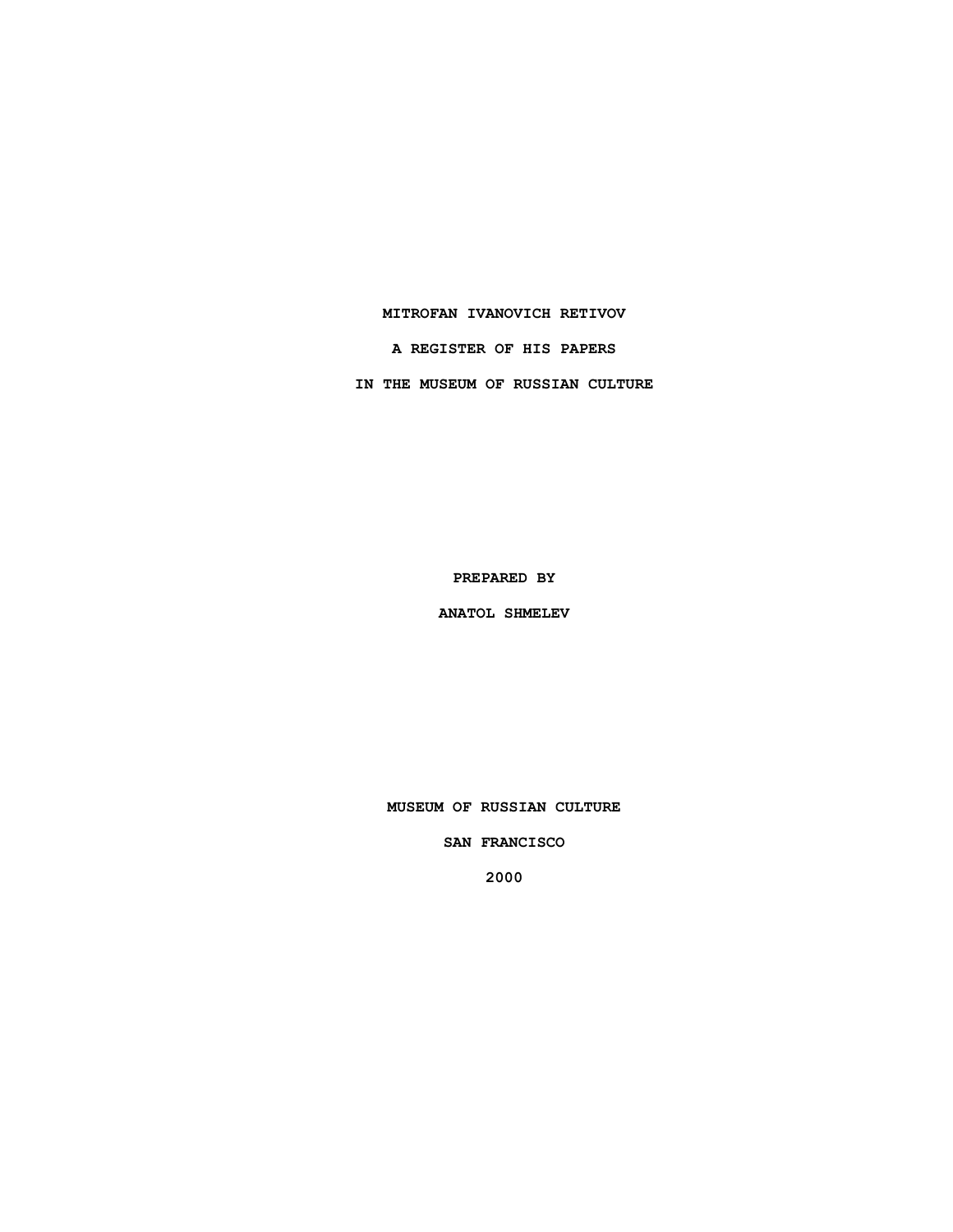### **MITROFAN IVANOVICH RETIVOV**

**A REGISTER OF HIS PAPERS**

**IN THE MUSEUM OF RUSSIAN CULTURE**

**PREPARED BY**

**ANATOL SHMELEV**

**MUSEUM OF RUSSIAN CULTURE**

**SAN FRANCISCO**

**2000**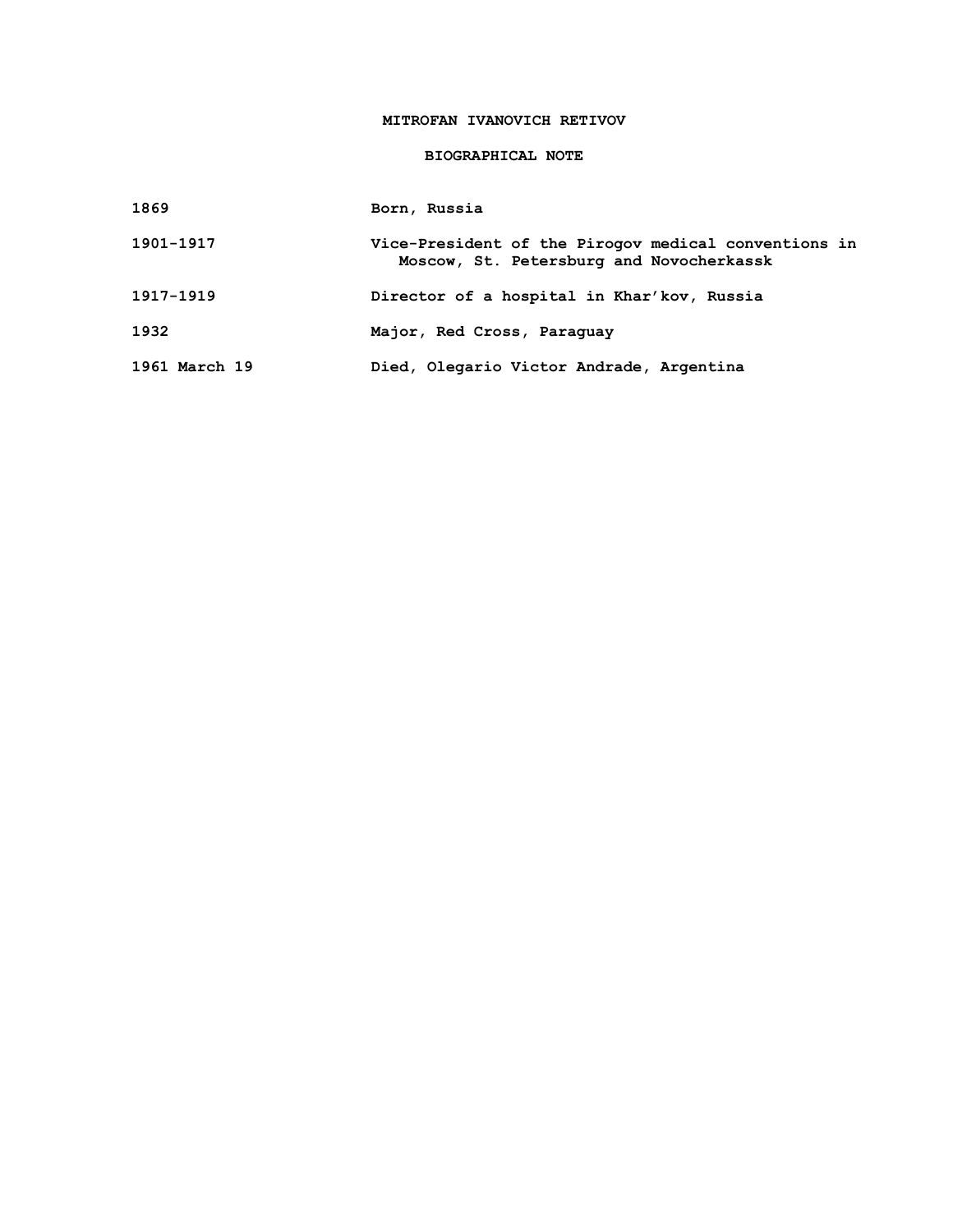# **MITROFAN IVANOVICH RETIVOV**

### **BIOGRAPHICAL NOTE**

| Born, Russia |
|--------------|
|              |

| 1901-1917 | Vice-President of the Pirogov medical conventions in<br>Moscow, St. Petersburg and Novocherkassk |
|-----------|--------------------------------------------------------------------------------------------------|
| 1917–1919 | Director of a hospital in Khar'kov, Russia                                                       |
| 1932      | Major, Red Cross, Paraguay                                                                       |

**1961 March 19 Died, Olegario Victor Andrade, Argentina**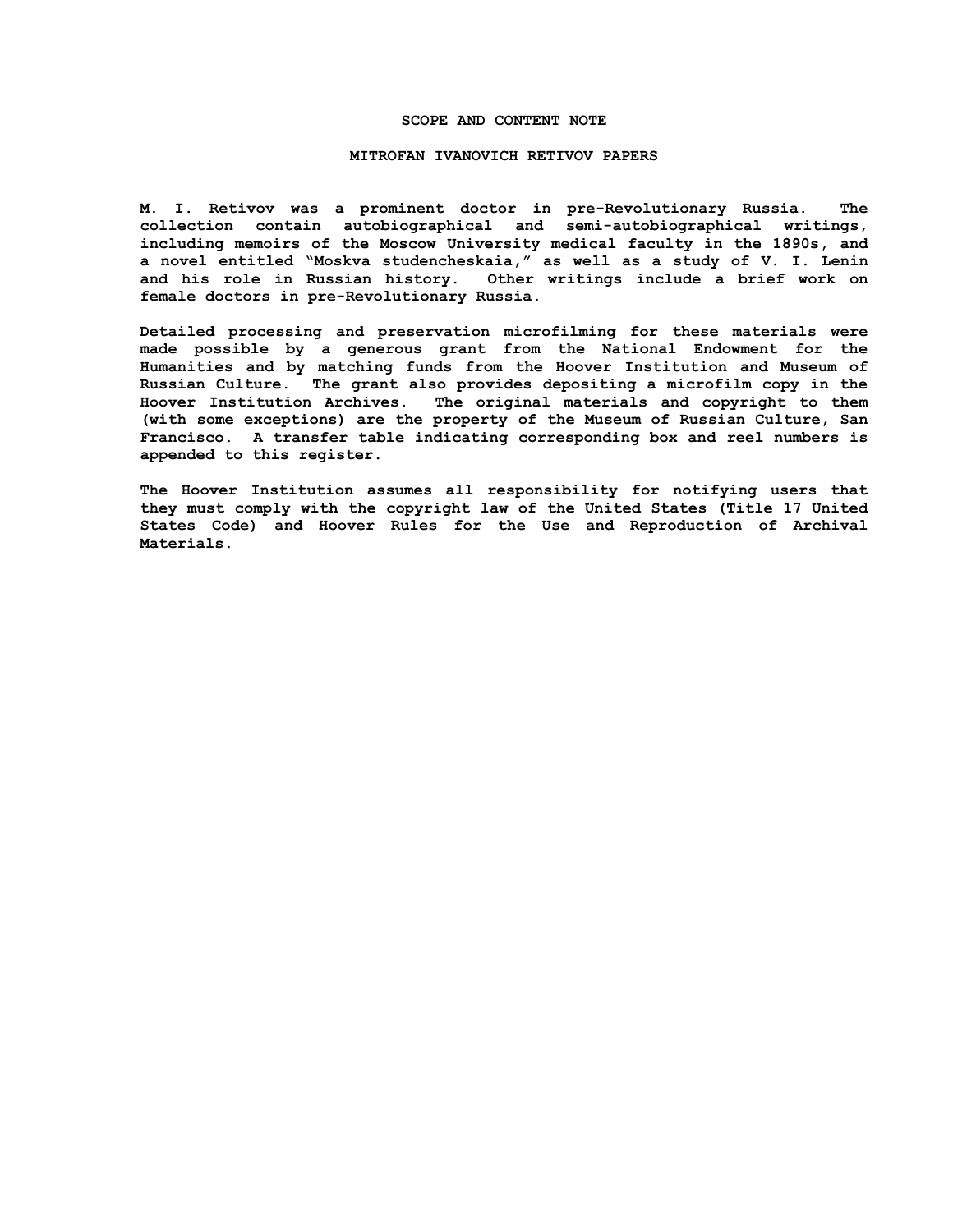#### **SCOPE AND CONTENT NOTE**

#### **MITROFAN IVANOVICH RETIVOV PAPERS**

**M. I. Retivov was a prominent doctor in pre-Revolutionary Russia. The collection contain autobiographical and semi-autobiographical writings, including memoirs of the Moscow University medical faculty in the 1890s, and a novel entitled "Moskva studencheskaia," as well as a study of V. I. Lenin and his role in Russian history. Other writings include a brief work on female doctors in pre-Revolutionary Russia.**

**Detailed processing and preservation microfilming for these materials were made possible by a generous grant from the National Endowment for the Humanities and by matching funds from the Hoover Institution and Museum of Russian Culture. The grant also provides depositing a microfilm copy in the Hoover Institution Archives. The original materials and copyright to them (with some exceptions) are the property of the Museum of Russian Culture, San Francisco. A transfer table indicating corresponding box and reel numbers is appended to this register.**

**The Hoover Institution assumes all responsibility for notifying users that they must comply with the copyright law of the United States (Title 17 United States Code) and Hoover Rules for the Use and Reproduction of Archival Materials.**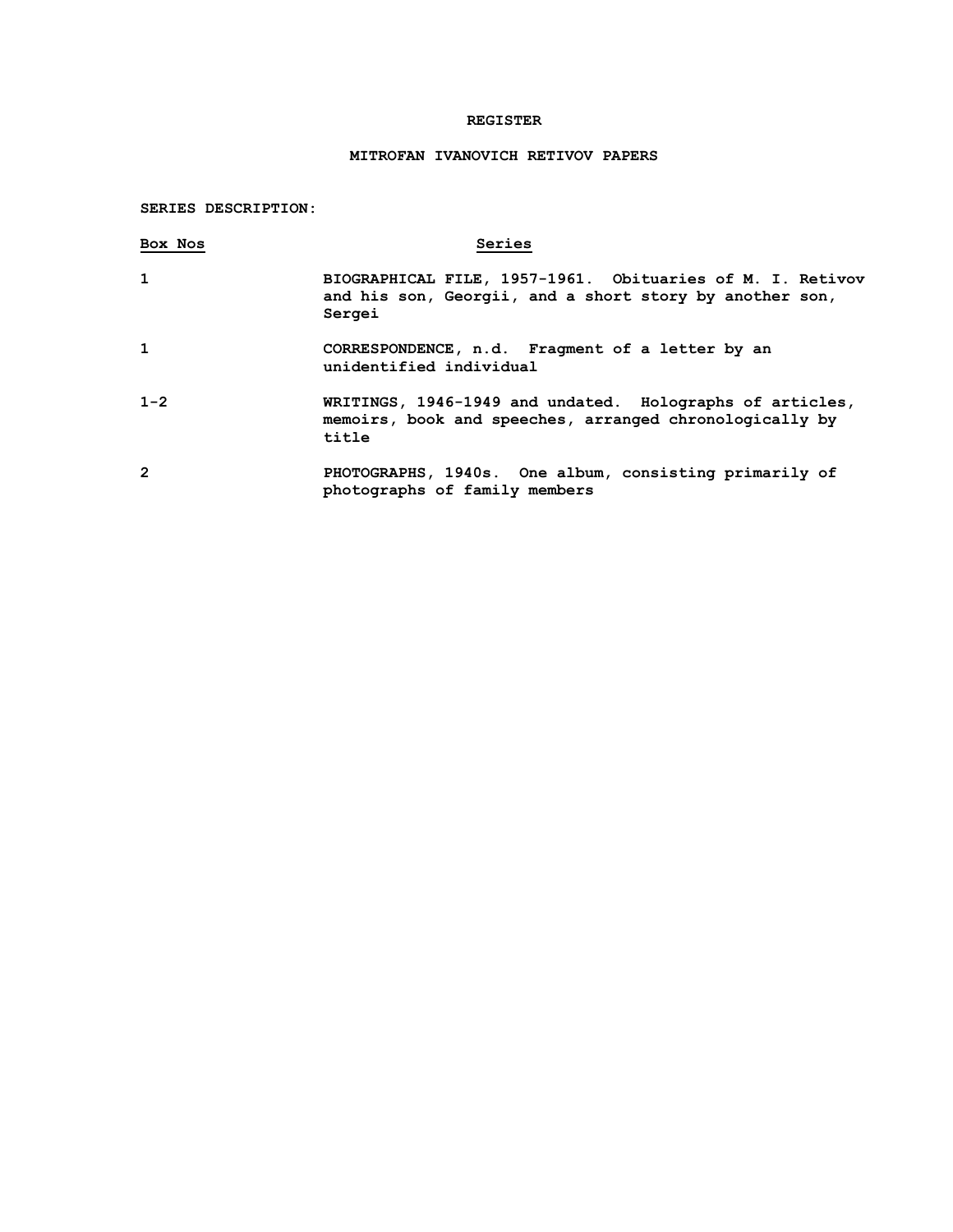### **REGISTER**

# **MITROFAN IVANOVICH RETIVOV PAPERS**

# **SERIES DESCRIPTION:**

| Box Nos      | Series                                                                                                                         |
|--------------|--------------------------------------------------------------------------------------------------------------------------------|
| $\mathbf{1}$ | BIOGRAPHICAL FILE, 1957-1961. Obituaries of M. I. Retivov<br>and his son, Georgii, and a short story by another son,<br>Sergei |
| 1            | CORRESPONDENCE, n.d. Fragment of a letter by an<br>unidentified individual                                                     |
| $1 - 2$      | WRITINGS, 1946-1949 and undated. Holographs of articles,<br>memoirs, book and speeches, arranged chronologically by<br>title   |
| 2            | PHOTOGRAPHS, 1940s. One album, consisting primarily of<br>photographs of family members                                        |